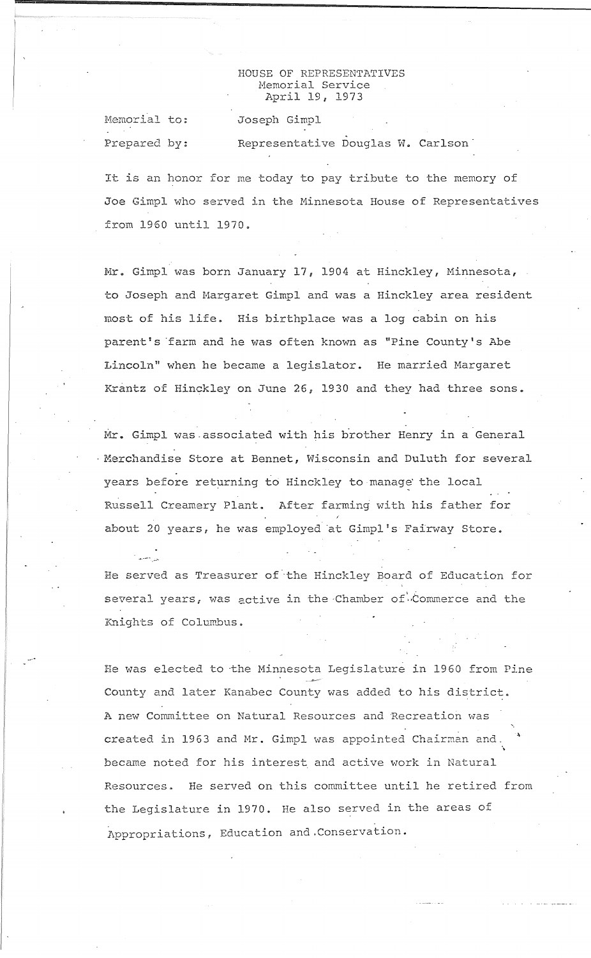## HOUSE OF REPRESENTATIVES Hemorial Service April 19, 1973

Joseph Gimpl

Memorial to: Prepared by:

**...---** .;~~.

Representative Douglas W. Carlson<sup>1</sup>

It is an honor for me today to pay tribute to the memory of Joe Gimpl who served in the Minnesota House of Representatives from 1960 until 1970 ..

Mr. Gimpl was born January 17, 1904 at Hinckley, Minnesota, to Joseph and Margaret Gimpl and was a Hinckley area resident most of his life. His birthplace was a log cabin on his parent's farm and he was often known as "Pine County's Abe Lincoln" when he became a legislator. He married Margaret Krantz of Hinckley on June 26, 1930 and they had three sons.

Mr. Gimpl was associated with his brother Henry in a General 'Merchandise Store at Bennet, Wisconsin and Duluth for several years before returning to Hinckley to manage the local Russell Creamery Plant.. After farming with his father for about 20 years, he was employed 'at Gimpl's Fairway Store •

He served as Treasurer of the Hinckley Board of Education for several years, was active in the Chamber of Commerce and the Knights of Coluwbus ..

He was elected to the Minnesota Legislature in 1960 from Pine County and later Kanabec County was added to his district. A new Committee on Natural Resources and Recreation was .... created in 1963 and Mr. Gimpl was appointed Chairman and.  $\ddot{\phantom{0}}$ became noted for his interest and active work in Natural Resources. He served on this committee until he retired from the Legislature in 1970. He also served in the areas of Appropriations, Education and.Conservation.